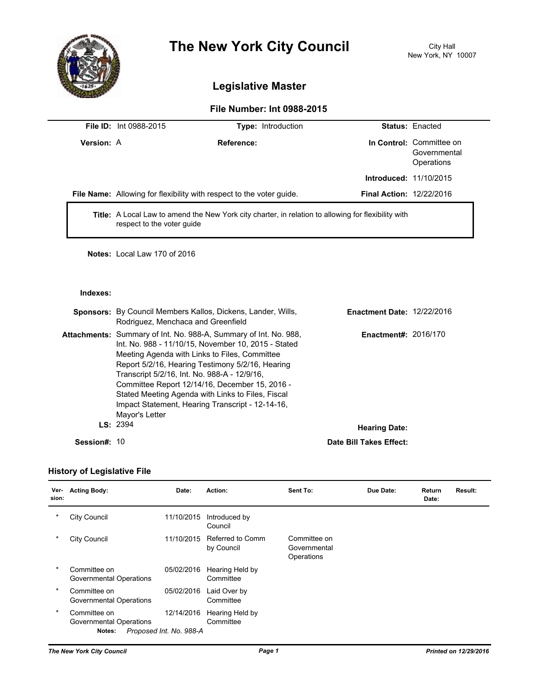

# **The New York City Council** City Hall

# **Legislative Master**

# **File Number: Int 0988-2015**

|                   | <b>File ID:</b> Int 0988-2015 | <b>Type:</b> Introduction                                                                                  |                                 | <b>Status: Enacted</b>                                 |
|-------------------|-------------------------------|------------------------------------------------------------------------------------------------------------|---------------------------------|--------------------------------------------------------|
| <b>Version: A</b> |                               | Reference:                                                                                                 |                                 | In Control: Committee on<br>Governmental<br>Operations |
|                   |                               |                                                                                                            | <b>Introduced: 11/10/2015</b>   |                                                        |
|                   |                               | File Name: Allowing for flexibility with respect to the voter guide.                                       | <b>Final Action: 12/22/2016</b> |                                                        |
|                   | respect to the voter guide    | <b>Title:</b> A Local Law to amend the New York city charter, in relation to allowing for flexibility with |                                 |                                                        |

**Notes:** Local Law 170 of 2016

### **Indexes:**

|              | <b>Sponsors:</b> By Council Members Kallos, Dickens, Lander, Wills,<br>Rodriguez, Menchaca and Greenfield                                                                                                                                                                                                                                                                                                                                                        | <b>Enactment Date: 12/22/2016</b> |  |
|--------------|------------------------------------------------------------------------------------------------------------------------------------------------------------------------------------------------------------------------------------------------------------------------------------------------------------------------------------------------------------------------------------------------------------------------------------------------------------------|-----------------------------------|--|
|              | <b>Attachments:</b> Summary of Int. No. 988-A, Summary of Int. No. 988,<br>Int. No. 988 - 11/10/15, November 10, 2015 - Stated<br>Meeting Agenda with Links to Files, Committee<br>Report 5/2/16, Hearing Testimony 5/2/16, Hearing<br>Transcript 5/2/16, Int. No. 988-A - 12/9/16,<br>Committee Report 12/14/16, December 15, 2016 -<br>Stated Meeting Agenda with Links to Files, Fiscal<br>Impact Statement, Hearing Transcript - 12-14-16,<br>Mayor's Letter | <b>Enactment#: 2016/170</b>       |  |
|              | LS: 2394                                                                                                                                                                                                                                                                                                                                                                                                                                                         | <b>Hearing Date:</b>              |  |
| Session#: 10 |                                                                                                                                                                                                                                                                                                                                                                                                                                                                  | Date Bill Takes Effect:           |  |

# **History of Legislative File**

| Ver-<br>sion: | <b>Acting Body:</b>                               | Date:                                 | Action:                        | Sent To:                                   | Due Date: | Return<br>Date: | Result: |
|---------------|---------------------------------------------------|---------------------------------------|--------------------------------|--------------------------------------------|-----------|-----------------|---------|
|               | City Council                                      | 11/10/2015                            | Introduced by<br>Council       |                                            |           |                 |         |
|               | City Council                                      | 11/10/2015                            | Referred to Comm<br>by Council | Committee on<br>Governmental<br>Operations |           |                 |         |
| $\ast$        | Committee on<br>Governmental Operations           | 05/02/2016                            | Hearing Held by<br>Committee   |                                            |           |                 |         |
| $\ast$        | Committee on<br>Governmental Operations           | 05/02/2016                            | Laid Over by<br>Committee      |                                            |           |                 |         |
| $\ast$        | Committee on<br>Governmental Operations<br>Notes: | 12/14/2016<br>Proposed Int. No. 988-A | Hearing Held by<br>Committee   |                                            |           |                 |         |